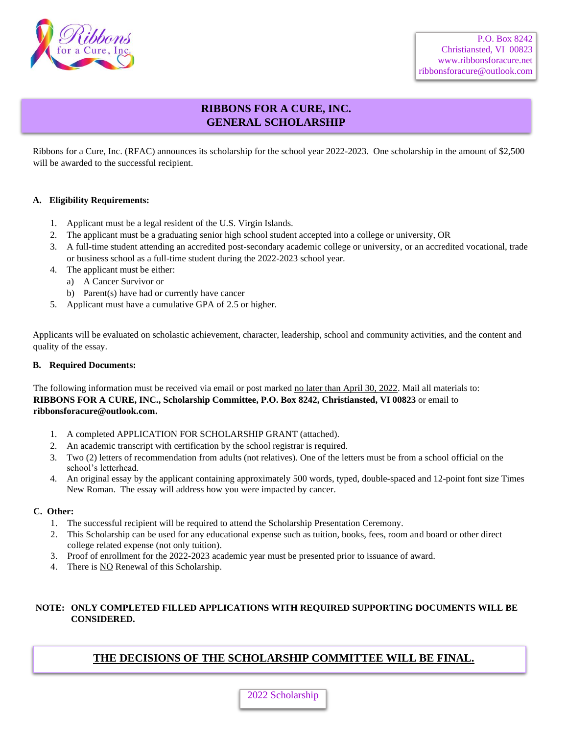

# **RIBBONS FOR A CURE, INC. GENERAL SCHOLARSHIP**

Ribbons for a Cure, Inc. (RFAC) announces its scholarship for the school year 2022-2023. One scholarship in the amount of \$2,500 will be awarded to the successful recipient.

#### **A. Eligibility Requirements:**

- 1. Applicant must be a legal resident of the U.S. Virgin Islands.
- 2. The applicant must be a graduating senior high school student accepted into a college or university, OR
- 3. A full-time student attending an accredited post-secondary academic college or university, or an accredited vocational, trade or business school as a full-time student during the 2022-2023 school year.
- 4. The applicant must be either:
	- a) A Cancer Survivor or
	- b) Parent(s) have had or currently have cancer
- 5. Applicant must have a cumulative GPA of 2.5 or higher.

Applicants will be evaluated on scholastic achievement, character, leadership, school and community activities, and the content and quality of the essay.

#### **B. Required Documents:**

The following information must be received via email or post marked no later than April 30, 2022. Mail all materials to: **RIBBONS FOR A CURE, INC., Scholarship Committee, P.O. Box 8242, Christiansted, VI 00823** or email to **ribbonsforacure@outlook.com.**

- 1. A completed APPLICATION FOR SCHOLARSHIP GRANT (attached).
- 2. An academic transcript with certification by the school registrar is required.
- 3. Two (2) letters of recommendation from adults (not relatives). One of the letters must be from a school official on the school's letterhead.
- 4. An original essay by the applicant containing approximately 500 words, typed, double-spaced and 12-point font size Times New Roman. The essay will address how you were impacted by cancer.

#### **C. Other:**

- 1. The successful recipient will be required to attend the Scholarship Presentation Ceremony.
- 2. This Scholarship can be used for any educational expense such as tuition, books, fees, room and board or other direct college related expense (not only tuition).
- 3. Proof of enrollment for the 2022-2023 academic year must be presented prior to issuance of award.
- 4. There is NO Renewal of this Scholarship.

#### **NOTE: ONLY COMPLETED FILLED APPLICATIONS WITH REQUIRED SUPPORTING DOCUMENTS WILL BE CONSIDERED.**

### **THE DECISIONS OF THE SCHOLARSHIP COMMITTEE WILL BE FINAL.**

### 2022 Scholarship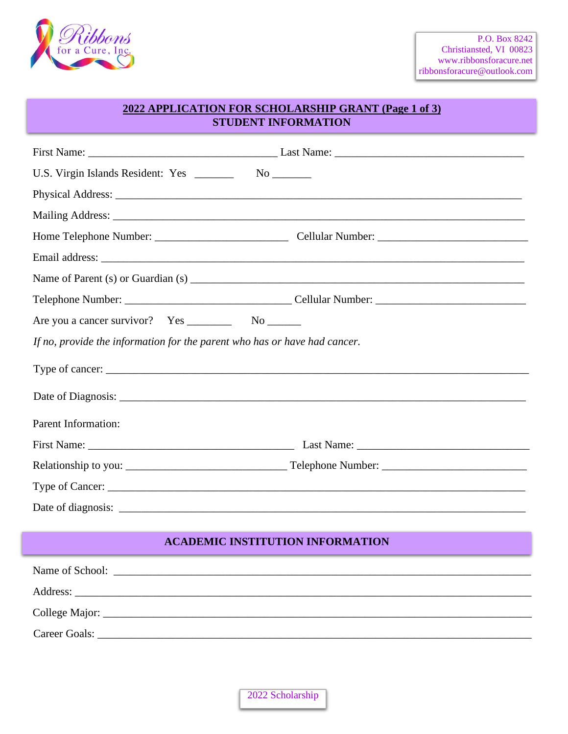

## **2022 APPLICATION FOR SCHOLARSHIP GRANT (Page 1 of 3) STUDENT INFORMATION**

| If no, provide the information for the parent who has or have had cancer. |  |  |  |
|---------------------------------------------------------------------------|--|--|--|
|                                                                           |  |  |  |
|                                                                           |  |  |  |
| Parent Information:                                                       |  |  |  |
|                                                                           |  |  |  |
|                                                                           |  |  |  |
| Type of Cancer:                                                           |  |  |  |
|                                                                           |  |  |  |
|                                                                           |  |  |  |
| <b>ACADEMIC INSTITUTION INFORMATION</b>                                   |  |  |  |
|                                                                           |  |  |  |
|                                                                           |  |  |  |
|                                                                           |  |  |  |
| Career Goals:                                                             |  |  |  |

2022 Scholarship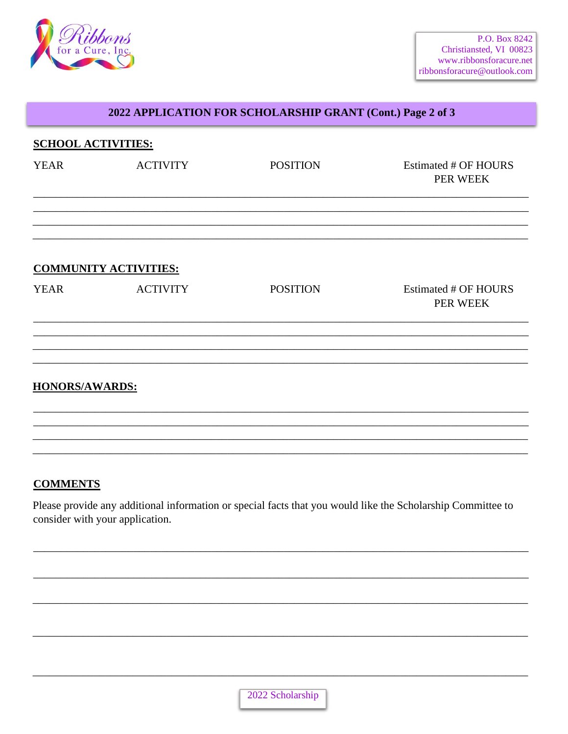

## 2022 APPLICATION FOR SCHOLARSHIP GRANT (Cont.) Page 2 of 3

| <b>SCHOOL ACTIVITIES:</b> |                              |                 |                                         |
|---------------------------|------------------------------|-----------------|-----------------------------------------|
| <b>YEAR</b>               | <b>ACTIVITY</b>              | <b>POSITION</b> | <b>Estimated # OF HOURS</b><br>PER WEEK |
|                           |                              |                 |                                         |
|                           | <b>COMMUNITY ACTIVITIES:</b> |                 |                                         |
| <b>YEAR</b>               | <b>ACTIVITY</b>              | <b>POSITION</b> | Estimated # OF HOURS<br>PER WEEK        |
|                           |                              |                 |                                         |
| <b>HONORS/AWARDS:</b>     |                              |                 |                                         |
|                           |                              |                 |                                         |
|                           |                              |                 |                                         |

### **COMMENTS**

Please provide any additional information or special facts that you would like the Scholarship Committee to consider with your application.